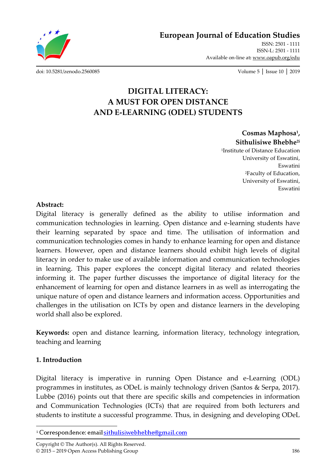**European Journal of Education Studies**

ISSN: 2501 - 1111 ISSN-L: 2501 - 1111 Available on-line at**:** www.oapub.org/edu

[doi: 10.5281/zenodo.2560085](http://dx.doi.org/10.5281/zenodo.2560085) Volume 5 │ Issue 10 │ 2019

# **DIGITAL LITERACY: A MUST FOR OPEN DISTANCE AND E-LEARNING (ODEL) STUDENTS**

### **Cosmas Maphosa<sup>1</sup> , Sithulisiwe Bhebhe2i**

1 Institute of Distance Education University of Eswatini, Eswatini <sup>2</sup>Faculty of Education, University of Eswatini, Eswatini

#### **Abstract:**

Digital literacy is generally defined as the ability to utilise information and communication technologies in learning. Open distance and e-learning students have their learning separated by space and time. The utilisation of information and communication technologies comes in handy to enhance learning for open and distance learners. However, open and distance learners should exhibit high levels of digital literacy in order to make use of available information and communication technologies in learning. This paper explores the concept digital literacy and related theories informing it. The paper further discusses the importance of digital literacy for the enhancement of learning for open and distance learners in as well as interrogating the unique nature of open and distance learners and information access. Opportunities and challenges in the utilisation on ICTs by open and distance learners in the developing world shall also be explored.

**Keywords:** open and distance learning, information literacy, technology integration, teaching and learning

### **1. Introduction**

Digital literacy is imperative in running Open Distance and e-Learning (ODL) programmes in institutes, as ODeL is mainly technology driven (Santos & Serpa, 2017). Lubbe (2016) points out that there are specific skills and competencies in information and Communication Technologies (ICTs) that are required from both lecturers and students to institute a successful programme. Thus, in designing and developing ODeL

 $\overline{\phantom{a}}$ <sup>i</sup> Correspondence: email sithulisiwebhebhe@gmail.com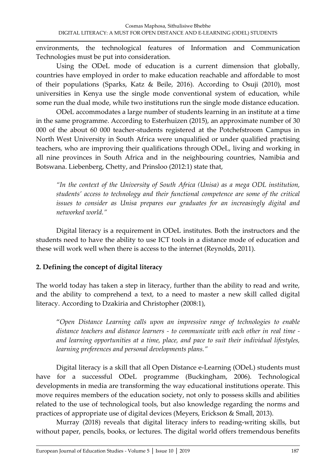environments, the technological features of Information and Communication Technologies must be put into consideration.

Using the ODeL mode of education is a current dimension that globally, countries have employed in order to make education reachable and affordable to most of their populations (Sparks, Katz & Beile, 2016). According to Osuji (2010), most universities in Kenya use the single mode conventional system of education, while some run the dual mode, while two institutions run the single mode distance education.

ODeL accommodates a large number of students learning in an institute at a time in the same programme. According to Esterhuizen (2015), an approximate number of 30 000 of the about 60 000 teacher-students registered at the Potchefstroom Campus in North West University in South Africa were unqualified or under qualified practising teachers, who are improving their qualifications through ODeL, living and working in all nine provinces in South Africa and in the neighbouring countries, Namibia and Botswana. Liebenberg, Chetty, and Prinsloo (2012:1) state that,

*"In the context of the University of South Africa (Unisa) as a mega ODL institution, students' access to technology and their functional competence are some of the critical issues to consider as Unisa prepares our graduates for an increasingly digital and networked world."*

Digital literacy is a requirement in ODeL institutes. Both the instructors and the students need to have the ability to use ICT tools in a distance mode of education and these will work well when there is access to the internet (Reynolds, 2011).

# **2. Defining the concept of digital literacy**

The world today has taken a step in literacy, further than the ability to read and write, and the ability to comprehend a text, to a need to master a new skill called digital literacy. According to Dzakiria and Christopher (2008:1),

'*Open Distance Learning calls upon an impressive range of technologies to enable distance teachers and distance learners - to communicate with each other in real time and learning opportunities at a time, place, and pace to suit their individual lifestyles, learning preferences and personal developments plans."*

Digital literacy is a skill that all Open Distance e-Learning (ODeL) students must have for a successful ODeL programme (Buckingham, 2006). Technological developments in media are transforming the way educational institutions operate. This move requires members of the education society, not only to possess skills and abilities related to the use of technological tools, but also knowledge regarding the norms and practices of appropriate use of digital devices (Meyers, Erickson & Small, 2013).

Murray (2018) reveals that digital literacy infers to reading-writing skills, but without paper, pencils, books, or lectures. The digital world offers tremendous benefits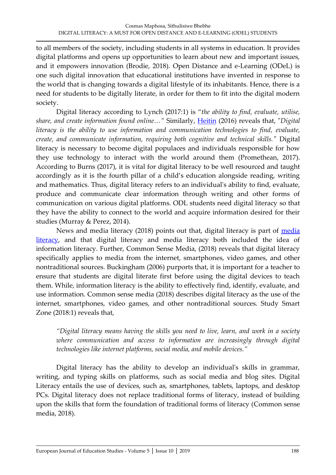to all members of the society, including students in all systems in education. It provides digital platforms and opens up opportunities to learn about new and important issues, and it empowers innovation (Brodie, 2018). Open Distance and e-Learning (ODeL) is one such digital innovation that educational institutions have invented in response to the world that is changing towards a digital lifestyle of its inhabitants. Hence, there is a need for students to be digitally literate, in order for them to fit into the digital modern society.

Digital literacy according to Lynch (2017:1) is '*the ability to find, evaluate, utilise, share, and create information found online…"* Similarly, [Heitin](https://www.edweek.org/ew/contributors/liana.heitin.html) (2016) reveals that, "*Digital literacy is the ability to use information and communication technologies to find, evaluate, create, and communicate information, requiring both cognitive and technical skills."* Digital literacy is necessary to become digital populaces and individuals responsible for how they use technology to interact with the world around them (Promethean, 2017). According to Burns (2017), it is vital for digital literacy to be well resourced and taught accordingly as it is the fourth pillar of a child's education alongside reading, writing and mathematics. Thus, digital literacy refers to an individual's ability to find, evaluate, produce and communicate clear information through writing and other forms of communication on various digital platforms. ODL students need digital literacy so that they have the ability to connect to the world and acquire information desired for their studies (Murray & Perez, 2014).

News and [media](https://www.commonsensemedia.org/news-and-media-literacy/what-is-media-literacy-and-why-is-it-important) literacy (2018) points out that, digital literacy is part of media [literacy,](https://www.commonsensemedia.org/news-and-media-literacy/what-is-media-literacy-and-why-is-it-important) and that digital literacy and media literacy both included the idea of information literacy. Further, Common Sense Media, (2018) reveals that digital literacy specifically applies to media from the internet, smartphones, video games, and other nontraditional sources. Buckingham (2006) purports that, it is important for a teacher to ensure that students are digital literate first before using the digital devices to teach them. While, information literacy is the ability to effectively find, identify, evaluate, and use information. Common sense media (2018) describes digital literacy as the use of the internet, smartphones, video games, and other nontraditional sources. Study Smart Zone (2018:1) reveals that,

*"Digital literacy means having the skills you need to live, learn, and work in a society where communication and access to information are increasingly through digital technologies like internet platforms, social media, and mobile devices."*

Digital literacy has the ability to develop an individual's skills in grammar, writing, and typing skills on platforms, such as social media and blog sites. Digital Literacy entails the use of devices, such as, smartphones, tablets, laptops, and desktop PCs. Digital literacy does not replace traditional forms of literacy, instead of building upon the skills that form the foundation of traditional forms of literacy (Common sense media, 2018).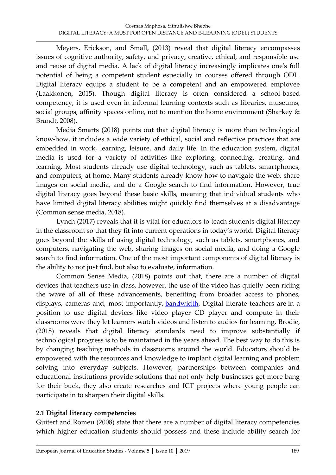Meyers, Erickson, and Small, (2013) reveal that digital literacy encompasses issues of cognitive authority, safety, and privacy, creative, ethical, and responsible use and reuse of digital media. A lack of digital literacy increasingly implicates one's full potential of being a competent student especially in courses offered through ODL. Digital literacy equips a student to be a competent and an empowered employee (Laakkonen, 2015). Though digital literacy is often considered a school-based competency, it is used even in informal learning contexts such as libraries, museums, social groups, affinity spaces online, not to mention the home environment (Sharkey & Brandt, 2008).

Media Smarts (2018) points out that digital literacy is more than technological know-how, it includes a wide variety of ethical, social and reflective practices that are embedded in work, learning, leisure, and daily life. In the education system, digital media is used for a variety of activities like exploring, connecting, creating, and learning. Most students already use digital technology, such as tablets, smartphones, and computers, at home. Many students already know how to navigate the web, share images on social media, and do a Google search to find information. However, true digital literacy goes beyond these basic skills, meaning that individual students who have limited digital literacy abilities might quickly find themselves at a disadvantage (Common sense media, 2018).

Lynch (2017) reveals that it is vital for educators to teach students digital literacy in the classroom so that they fit into current operations in today's world. Digital literacy goes beyond the skills of using digital technology, such as tablets, smartphones, and computers, navigating the web, sharing images on social media, and doing a Google search to find information. One of the most important components of digital literacy is the ability to not just find, but also to evaluate, information.

Common Sense Media, (2018) points out that, there are a number of digital devices that teachers use in class, however, the use of the video has quietly been riding the wave of all of these advancements, benefiting from broader access to phones, displays, cameras and, most importantly, **bandwidth**. Digital literate teachers are in a position to use digital devices like video player CD player and compute in their classrooms were they let learners watch videos and listen to audios for learning. Brodie, (2018) reveals that digital literacy standards need to improve substantially if technological progress is to be maintained in the years ahead. The best way to do this is by changing teaching methods in classrooms around the world. Educators should be empowered with the resources and knowledge to implant digital learning and problem solving into everyday subjects. However, partnerships between companies and educational institutions provide solutions that not only help businesses get more bang for their buck, they also create researches and ICT projects where young people can participate in to sharpen their digital skills.

# **2.1 Digital literacy competencies**

Guitert and Romeu (2008) state that there are a number of digital literacy competencies which higher education students should possess and these include ability search for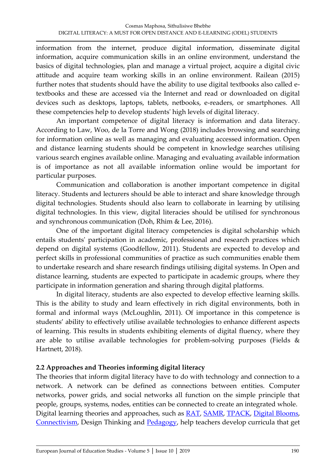information from the internet, produce digital information, disseminate digital information, acquire communication skills in an online environment, understand the basics of digital technologies, plan and manage a virtual project, acquire a digital civic attitude and acquire team working skills in an online environment. Railean (2015) further notes that students should have the ability to use digital textbooks also called etextbooks and these are accessed via the Internet and read or downloaded on digital devices such as desktops, laptops, tablets, netbooks, e-readers, or smartphones. All these competencies help to develop students' high levels of digital literacy.

An important competence of digital literacy is information and data literacy. According to Law, Woo, de la Torre and Wong (2018) includes browsing and searching for information online as well as managing and evaluating accessed information. Open and distance learning students should be competent in knowledge searches utilising various search engines available online. Managing and evaluating available information is of importance as not all available information online would be important for particular purposes.

Communication and collaboration is another important competence in digital literacy. Students and lecturers should be able to interact and share knowledge through digital technologies. Students should also learn to collaborate in learning by utilising digital technologies. In this view, digital literacies should be utilised for synchronous and synchronous communication (Doh, Rhim & Lee, 2016).

One of the important digital literacy competencies is digital scholarship which entails students' participation in academic, professional and research practices which depend on digital systems (Goodfellow, 2011). Students are expected to develop and perfect skills in professional communities of practice as such communities enable them to undertake research and share research findings utilising digital systems. In Open and distance learning, students are expected to participate in academic groups, where they participate in information generation and sharing through digital platforms.

In digital literacy, students are also expected to develop effective learning skills. This is the ability to study and learn effectively in rich digital environments, both in formal and informal ways (McLoughlin, 2011). Of importance in this competence is students' ability to effectively utilise available technologies to enhance different aspects of learning. This results in students exhibiting elements of digital fluency, where they are able to utilise available technologies for problem-solving purposes (Fields & Hartnett, 2018).

### **2.2 Approaches and Theories informing digital literacy**

The theories that inform digital literacy have to do with technology and connection to a network. A network can be defined as connections between entities. Computer networks, power grids, and social networks all function on the simple principle that people, groups, systems, nodes, entities can be connected to create an integrated whole. Digital learning theories and approaches, such as **RAT**, [SAMR,](http://www.schrockguide.net/samr.html) [TPACK,](http://www.tpack.org/) [Digital Blooms,](http://eduteka.icesi.edu.co/articulos/TaxonomiaBloomDigital) [Connectivism,](http://www.itdl.org/journal/jan_05/article01.htm) Design Thinking and [Pedagogy,](http://peeragogy.github.io/) help teachers develop curricula that get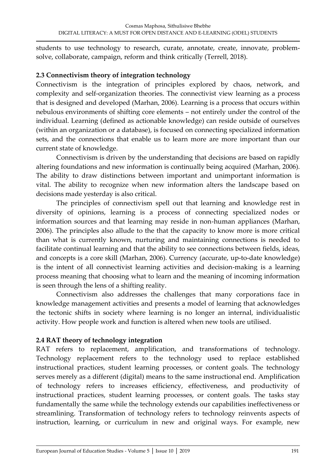students to use technology to research, curate, annotate, create, innovate, problemsolve, collaborate, campaign, reform and think critically (Terrell, 2018).

#### **2.3 Connectivism theory of integration technology**

Connectivism is the integration of principles explored by chaos, network, and complexity and self-organization theories. The connectivist view learning as a process that is designed and developed (Marhan, 2006). Learning is a process that occurs within nebulous environments of shifting core elements – not entirely under the control of the individual. Learning (defined as actionable knowledge) can reside outside of ourselves (within an organization or a database), is focused on connecting specialized information sets, and the connections that enable us to learn more are more important than our current state of knowledge.

Connectivism is driven by the understanding that decisions are based on rapidly altering foundations and new information is continually being acquired (Marhan, 2006). The ability to draw distinctions between important and unimportant information is vital. The ability to recognize when new information alters the landscape based on decisions made yesterday is also critical.

The principles of connectivism spell out that learning and knowledge rest in diversity of opinions, learning is a process of connecting specialized nodes or information sources and that learning may reside in non-human appliances (Marhan, 2006). The principles also allude to the that the capacity to know more is more critical than what is currently known, nurturing and maintaining connections is needed to facilitate continual learning and that the ability to see connections between fields, ideas, and concepts is a core skill (Marhan, 2006). Currency (accurate, up-to-date knowledge) is the intent of all connectivist learning activities and decision-making is a learning process meaning that choosing what to learn and the meaning of incoming information is seen through the lens of a shifting reality.

Connectivism also addresses the challenges that many corporations face in knowledge management activities and presents a model of learning that acknowledges the tectonic shifts in society where learning is no longer an internal, individualistic activity. How people work and function is altered when new tools are utilised.

### **2.4 RAT theory of technology integration**

RAT refers to replacement, amplification, and transformations of technology. Technology replacement refers to the technology used to replace established instructional practices, student learning processes, or content goals. The technology serves merely as a different (digital) means to the same instructional end. Amplification of technology refers to increases efficiency, effectiveness, and productivity of instructional practices, student learning processes, or content goals. The tasks stay fundamentally the same while the technology extends our capabilities ineffectiveness or streamlining. Transformation of technology refers to technology reinvents aspects of instruction, learning, or curriculum in new and original ways. For example, new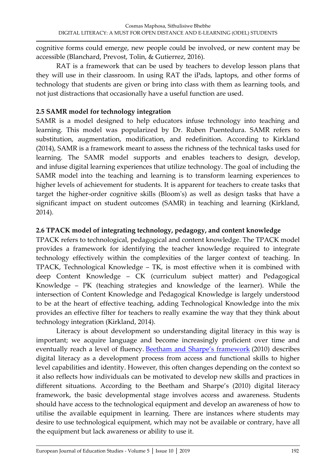cognitive forms could emerge, new people could be involved, or new content may be accessible (Blanchard, Prevost, Tolin, & Gutierrez, 2016).

RAT is a framework that can be used by teachers to develop lesson plans that they will use in their classroom. In using RAT the iPads, laptops, and other forms of technology that students are given or bring into class with them as learning tools, and not just distractions that occasionally have a useful function are used.

# **2.5 SAMR model for technology integration**

SAMR is a model designed to help educators infuse technology into teaching and learning. This model was popularized by Dr. Ruben Puentedura. SAMR refers to substitution, augmentation, modification, and redefinition. According to Kirkland (2014), SAMR is a framework meant to assess the richness of the technical tasks used for learning. The SAMR model supports and enables teachers to design, develop, and infuse digital learning experiences that utilize technology. The goal of including the SAMR model into the teaching and learning is to transform learning experiences to higher levels of achievement for students. It is apparent for teachers to create tasks that target the higher-order cognitive skills (Bloom's) as well as design tasks that have a significant impact on student outcomes (SAMR) in teaching and learning (Kirkland, 2014).

### **2.6 TPACK model of integrating technology, pedagogy, and content knowledge**

TPACK refers to technological, pedagogical and content knowledge. The TPACK model provides a framework for identifying the teacher knowledge required to integrate technology effectively within the complexities of the larger context of teaching. In TPACK, Technological Knowledge – TK, is most effective when it is combined with deep Content Knowledge – CK (curriculum subject matter) and Pedagogical Knowledge – PK (teaching strategies and knowledge of the learner). While the intersection of Content Knowledge and Pedagogical Knowledge is largely understood to be at the heart of effective teaching, adding Technological Knowledge into the mix provides an effective filter for teachers to really examine the way that they think about technology integration (Kirkland, 2014).

Literacy is about development so understanding digital literacy in this way is important; we acquire language and become increasingly proficient over time and eventually reach a level of fluency. [Beetham and Sharpe's framework](http://jiscdesignstudio.pbworks.com/w/page/46740204/Digital%20literacy%20framework) (2010) describes digital literacy as a development process from access and functional skills to higher level capabilities and identity. However, this often changes depending on the context so it also reflects how individuals can be motivated to develop new skills and practices in different situations. According to the Beetham and Sharpe's (2010) digital literacy framework, the basic developmental stage involves access and awareness. Students should have access to the technological equipment and develop an awareness of how to utilise the available equipment in learning. There are instances where students may desire to use technological equipment, which may not be available or contrary, have all the equipment but lack awareness or ability to use it.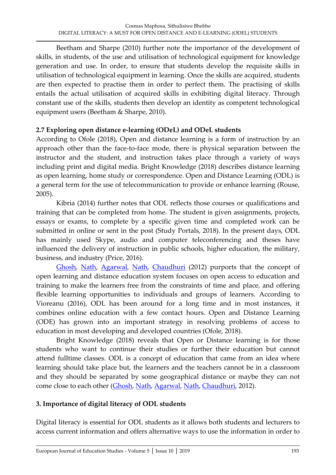Beetham and Sharpe (2010) further note the importance of the development of skills, in students, of the use and utilisation of technological equipment for knowledge generation and use. In order, to ensure that students develop the requisite skills in utilisation of technological equipment in learning. Once the skills are acquired, students are then expected to practise them in order to perfect them. The practising of skills entails the actual utilisation of acquired skills in exhibiting digital literacy. Through constant use of the skills, students then develop an identity as competent technological equipment users (Beetham & Sharpe, 2010).

#### **2.7 Exploring open distance e-learning (ODeL) and ODeL students**

According to Ofole (2018), Open and distance learning is a form of instruction by an approach other than the face-to-face mode, there is physical separation between the instructor and the student, and instruction takes place through a variety of ways including print and digital media. Bright Knowledge (2018) describes distance learning as open learning, home study or correspondence. Open and Distance Learning (ODL) is a general term for the use of telecommunication to provide or enhance learning (Rouse, 2005).

Kibria (2014) further notes that ODL reflects those courses or qualifications and training that can be completed from home. The student is given assignments, projects, essays or exams, to complete by a specific given time and completed work can be submitted in online or sent in the post (Study Portals, 2018). In the present days, ODL has mainly used Skype, audio and computer teleconferencing and theses have influenced the delivery of instruction in public schools, higher education, the military, business, and industry (Price, 2016).

[Ghosh,](https://www.researchgate.net/scientific-contributions/70901366_Saima_Ghosh) [Nath,](https://www.researchgate.net/profile/Joyshree_Nath) [Agarwal,](https://www.researchgate.net/profile/Shalabh_Agarwal) [Nath,](https://www.researchgate.net/profile/Asoke_Nath) [Chaudhuri](https://www.researchgate.net/scientific-contributions/2044344645_A_K_Chaudhuri) (2012) purports that the concept of open learning and distance education system focuses on open access to education and training to make the learners free from the constraints of time and place, and offering flexible learning opportunities to individuals and groups of learners. According to Vioreanu (2016), ODL has been around for a long time and in most instances, it combines online education with a few contact hours. Open and Distance Learning (ODE) has grown into an important strategy in resolving problems of access to education in most developing and developed countries (Ofole, 2018).

Bright Knowledge (2018) reveals that Open or Distance learning is for those students who want to continue their studies or further their education but cannot attend fulltime classes. ODL is a concept of education that came from an idea where learning should take place but, the learners and the teachers cannot be in a classroom and they should be separated by some geographical distance or maybe they can not come close to each other [\(Ghosh,](https://www.researchgate.net/scientific-contributions/70901366_Saima_Ghosh) [Nath,](https://www.researchgate.net/profile/Joyshree_Nath) [Agarwal,](https://www.researchgate.net/profile/Shalabh_Agarwal) [Nath,](https://www.researchgate.net/profile/Asoke_Nath) [Chaudhuri,](https://www.researchgate.net/scientific-contributions/2044344645_A_K_Chaudhuri) 2012).

### **3. Importance of digital literacy of ODL students**

Digital literacy is essential for ODL students as it allows both students and lecturers to access current information and offers alternative ways to use the information in order to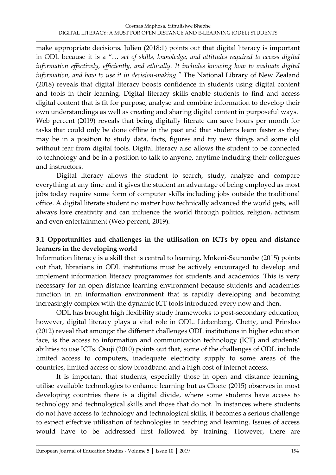make appropriate decisions*.* Julien (2018:1) points out that digital literacy is important in ODL because it is a '… *set of skills, knowledge, and attitudes required to access digital information effectively, efficiently, and ethically. It includes knowing how to evaluate digital information, and how to use it in decision-making."* The National Library of New Zealand (2018) reveals that digital literacy boosts confidence in students using digital content and tools in their learning. Digital literacy skills enable students to find and access digital content that is fit for purpose, analyse and combine information to develop their own understandings as well as creating and sharing digital content in purposeful ways. Web percent (2019) reveals that being digitally literate can save hours per month for tasks that could only be done offline in the past and that students learn faster as they may be in a position to study data, facts, figures and try new things and some old without fear from digital tools. Digital literacy also allows the student to be connected to technology and be in a position to talk to anyone, anytime including their colleagues and instructors.

Digital literacy allows the student to search, study, analyze and compare everything at any time and it gives the student an advantage of being employed as most jobs today require some form of computer skills including jobs outside the traditional office. A digital literate student no matter how technically advanced the world gets, will always love creativity and can influence the world through politics, religion, activism and even entertainment (Web percent, 2019).

# **3.1 Opportunities and challenges in the utilisation on ICTs by open and distance learners in the developing world**

Information literacy is a skill that is central to learning. Mnkeni-Saurombe (2015) points out that, librarians in ODL institutions must be actively encouraged to develop and implement information literacy programmes for students and academics. This is very necessary for an open distance learning environment because students and academics function in an information environment that is rapidly developing and becoming increasingly complex with the dynamic ICT tools introduced every now and then.

ODL has brought high flexibility study frameworks to post-secondary education, however, digital literacy plays a vital role in ODL. Liebenberg, Chetty, and Prinsloo (2012) reveal that amongst the different challenges ODL institutions in higher education face, is the access to information and communication technology (ICT) and students' abilities to use ICTs. Osuji (2010) points out that, some of the challenges of ODL include limited access to computers, inadequate electricity supply to some areas of the countries, limited access or slow broadband and a high cost of internet access.

It is important that students, especially those in open and distance learning, utilise available technologies to enhance learning but as Cloete (2015) observes in most developing countries there is a digital divide, where some students have access to technology and technological skills and those that do not. In instances where students do not have access to technology and technological skills, it becomes a serious challenge to expect effective utilisation of technologies in teaching and learning. Issues of access would have to be addressed first followed by training. However, there are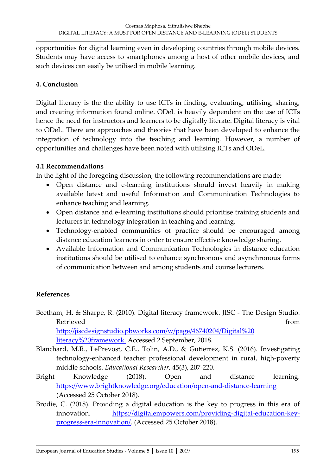opportunities for digital learning even in developing countries through mobile devices. Students may have access to smartphones among a host of other mobile devices, and such devices can easily be utilised in mobile learning.

### **4. Conclusion**

Digital literacy is the the ability to use ICTs in finding, evaluating, utilising, sharing, and creating information found online. ODeL is heavily dependent on the use of ICTs hence the need for instructors and learners to be digitally literate. Digital literacy is vital to ODeL. There are approaches and theories that have been developed to enhance the integration of technology into the teaching and learning. However, a number of opportunities and challenges have been noted with utilising ICTs and ODeL.

### **4.1 Recommendations**

In the light of the foregoing discussion, the following recommendations are made;

- Open distance and e-learning institutions should invest heavily in making available latest and useful Information and Communication Technologies to enhance teaching and learning.
- Open distance and e-learning institutions should prioritise training students and lecturers in technology integration in teaching and learning.
- Technology-enabled communities of practice should be encouraged among distance education learners in order to ensure effective knowledge sharing.
- Available Information and Communication Technologies in distance education institutions should be utilised to enhance synchronous and asynchronous forms of communication between and among students and course lecturers.

# **References**

- Beetham, H. & Sharpe, R. (2010). Digital literacy framework. JISC The Design Studio. Retrieved from the settlement of the settlement of the settlement of the settlement of the settlement of the s [http://jiscdesignstudio.pbworks.com/w/page/46740204/Digital%20](http://jiscdesignstudio.pbworks.com/w/page/46740204/Digital) literacy%20framework. Accessed 2 September, 2018.
- Blanchard, M.R., LePrevost, C.E., Tolin, A.D., & Gutierrez, K.S. (2016). Investigating technology-enhanced teacher professional development in rural, high-poverty middle schools. *Educational Researcher,* 45(3), 207-220.
- Bright Knowledge (2018). Open and distance learning. <https://www.brightknowledge.org/education/open-and-distance-learning> (Accessed 25 October 2018).
- Brodie, C. (2018). Providing a digital education is the key to progress in this era of innovation. [https://digitalempowers.com/providing-digital-education-key](https://digitalempowers.com/providing-digital-education-key-%09progress-era-innovation/)[progress-era-innovation/.](https://digitalempowers.com/providing-digital-education-key-%09progress-era-innovation/) (Accessed 25 October 2018).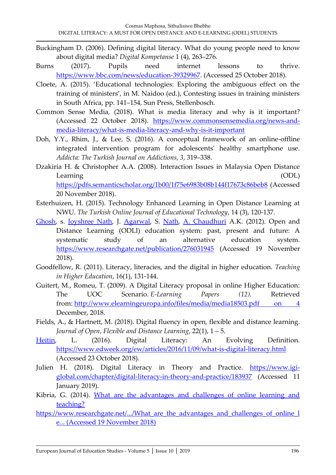- Buckingham D. (2006). Defining digital literacy. What do young people need to know about digital media? *Digital Kompetanse* 1 (4), 263–276.
- Burns (2017). Pupils need internet lessons to thrive. [https://www.bbc.com/news/education-39329967.](https://www.bbc.com/news/education-39329967) (Accessed 25 October 2018).
- Cloete, A. (2015). 'Educational technologies: Exploring the ambiguous effect on the training of ministers', in M. Naidoo (ed.), Contesting issues in training ministers in South Africa, pp. 141–154, Sun Press, Stellenbosch.
- Common Sense Media, (2018). What is media literacy and why is it important? (Accessed 22 October 2018). [https://www.commonsensemedia.org/news-and](https://www.commonsensemedia.org/news-and-%09media-literacy/what-is-media-literacy-and-why-is-it-important)[media-literacy/what-is-media-literacy-and-why-is-it-important](https://www.commonsensemedia.org/news-and-%09media-literacy/what-is-media-literacy-and-why-is-it-important)
- Doh, Y.Y., Rhim, J., & Lee, S. (2016). A conceptual framework of an online-offline integrated intervention program for adolescents' healthy smartphone use. *Addicta: The Turkish Journal on Addictions*, *3*, 319–338.
- Dzakiria H. & Christopher A.A. (2008). Interaction Issues in Malaysia Open Distance Learning (ODL) <https://pdfs.semanticscholar.org/1b00/1f75e6983b08b144f17673c86beb8> (Accessed 20 November 2018).
- Esterhuizen, H. (2015). Technology Enhanced Learning in Open Distance Learning at NWU. *The Turkish Online Journal of Educational Technology*, 14 (3), 120-137.
- [Ghosh,](https://www.researchgate.net/scientific-contributions/70901366_Saima_Ghosh) s. [Joyshree Nath,](https://www.researchgate.net/profile/Joyshree_Nath) J. [Agarwal,](https://www.researchgate.net/profile/Shalabh_Agarwal) S. [Nath,](https://www.researchgate.net/profile/Asoke_Nath) [A. Chaudhuri](https://www.researchgate.net/scientific-contributions/2044344645_A_K_Chaudhuri) A.K. (2012). Open and Distance Learning (ODLl) education system: past, present and future: A systematic study of an alternative education system. <https://www.researchgate.net/publication/276031945> (Accessed 19 November 2018).
- Goodfellow, R. (2011). Literacy, literacies, and the digital in higher education. *Teaching in Higher Education*, 16(1), 131-144.
- Guitert, M., Romeu, T. (2009). A Digital Literacy proposal in online Higher Education: The UOC Scenario. *E-Learning Papers (12)*. Retrieved from: [http://www.elearningeuropa.info/files/media/media18503.pdf on 4](http://www.elearningeuropa.info/files/media/media18503.pdf%20on%204) December, 2018.
- Fields, A., & Hartnett, M. (2018). Digital fluency in open, flexible and distance learning. *Journal of Open, Flexible and Distance Learning*, 22(1), 1 – 5.
- [Heitin,](https://www.edweek.org/ew/contributors/liana.heitin.html) L. (2016). Digital Literacy: An Evolving Definition. <https://www.edweek.org/ew/articles/2016/11/09/what-is-digital-literacy.html> (Accessed 23 October 2018).
- Julien H. (2018). Digital Literacy in Theory and Practice. https://www.igiglobal.com/chapter/digital-literacy-in-theory-and-practice/183937 (Accessed 11 January 2019).
- Kibria, G. (2014). [What are the advantages and challenges of online learning and](What%20are%20the%20advantages%20and%20challenges%20of%20online%20learning%20and%20%09teaching?%20https://www.researchgate.net/.../What_are_the_advantages_and_challenges_of_online_l%09e...%20(Accessed%2019%20November%202018))  [teaching?](What%20are%20the%20advantages%20and%20challenges%20of%20online%20learning%20and%20%09teaching?%20https://www.researchgate.net/.../What_are_the_advantages_and_challenges_of_online_l%09e...%20(Accessed%2019%20November%202018))
- https://www.researchgate.net/.../What\_are\_the\_advantages\_and\_challenges\_of\_online\_1 [e... \(Accessed 19 November 2018\)](What%20are%20the%20advantages%20and%20challenges%20of%20online%20learning%20and%20%09teaching?%20https://www.researchgate.net/.../What_are_the_advantages_and_challenges_of_online_l%09e...%20(Accessed%2019%20November%202018))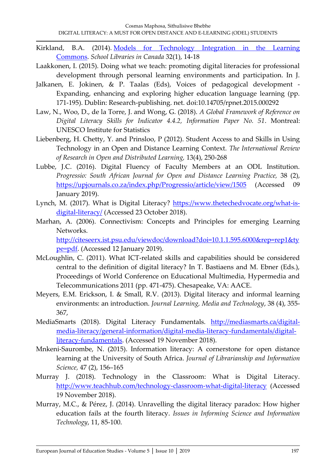- Kirkland, B.A. (2014). [Models for Technology Integration in the Learning](http://clatoolbox.ca/casl/slicv32n1/321brookskirkland.html)  [Commons.](http://clatoolbox.ca/casl/slicv32n1/321brookskirkland.html) *School Libraries in Canada* 32(1), 14-18
- Laakkonen, I. (2015). Doing what we teach: promoting digital literacies for professional development through personal learning environments and participation. In J.
- Jalkanen, E. Jokinen, & P. Taalas (Eds), Voices of pedagogical development Expanding, enhancing and exploring higher education language learning (pp. 171-195). Dublin: Research-publishing. net. doi:10.14705/rpnet.2015.000292
- Law, N., Woo, D., de la Torre, J. and Wong, G. (2018). *A Global Framework of Reference on Digital Literacy Skills for Indicator 4.4.2, Information Paper No. 51*. Montreal: UNESCO Institute for Statistics
- Liebenberg, H. Chetty, Y. and Prinsloo, P (2012). Student Access to and Skills in Using Technology in an Open and Distance Learning Context. *The International Review of Research in Open and Distributed Learning,* 13(4), 250-268
- Lubbe, J.C. (2016). Digital Fluency of Faculty Members at an ODL Institution. *Progressio: South African Journal for Open and Distance Learning Practice,* 38 (2), <https://upjournals.co.za/index.php/Progressio/article/view/1505> (Accessed 09 January 2019).
- Lynch, M. (2017). What is Digital Literacy? [https://www.thetechedvocate.org/what-is](https://www.thetechedvocate.org/what-is-%09digital-literacy/)[digital-literacy/](https://www.thetechedvocate.org/what-is-%09digital-literacy/) (Accessed 23 October 2018).
- Marhan, A. (2006). Connectivism: Concepts and Principles for emerging Learning Networks. [http://citeseerx.ist.psu.edu/viewdoc/download?doi=10.1.1.595.6000&rep=rep1&ty](http://citeseerx.ist.psu.edu/viewdoc/download?doi=10.1.1.595.6000&rep=rep1&ty%09pe=pdf)

[pe=pdf.](http://citeseerx.ist.psu.edu/viewdoc/download?doi=10.1.1.595.6000&rep=rep1&ty%09pe=pdf) (Accessed 12 January 2019).

- McLoughlin, C. (2011). What ICT-related skills and capabilities should be considered central to the definition of digital literacy? In T. Bastiaens and M. Ebner (Eds.), Proceedings of World Conference on Educational Multimedia, Hypermedia and Telecommunications 2011 (pp. 471-475). Chesapeake, VA: AACE.
- Meyers, E.M. Erickson, I. & Small, R.V. (2013). Digital literacy and informal learning environments: an introduction. *Journal Learning, Media and Technology*, 38 (4), 355- 367,
- MediaSmarts (2018). Digital Literacy Fundamentals. [http://mediasmarts.ca/digital](http://mediasmarts.ca/digital-%09media-literacy/general-information/digital-media-literacy-fundamentals/digital-%09literacy-fundamentals)[media-literacy/general-information/digital-media-literacy-fundamentals/digital](http://mediasmarts.ca/digital-%09media-literacy/general-information/digital-media-literacy-fundamentals/digital-%09literacy-fundamentals)[literacy-fundamentals.](http://mediasmarts.ca/digital-%09media-literacy/general-information/digital-media-literacy-fundamentals/digital-%09literacy-fundamentals) (Accessed 19 November 2018).
- Mnkeni-Saurombe, N. (2015). Information literacy: A cornerstone for open distance learning at the University of South Africa. *Journal of Librarianship and Information Science,* 47 (2), 156–165
- Murray J. (2018). Technology in the Classroom: What is Digital Literacy. <http://www.teachhub.com/technology-classroom-what-digital-literacy> (Accessed 19 November 2018).
- Murray, M.C., & Pérez, J. (2014). Unravelling the digital literacy paradox: How higher education fails at the fourth literacy. *Issues in Informing Science and Information Technology*, 11, 85-100.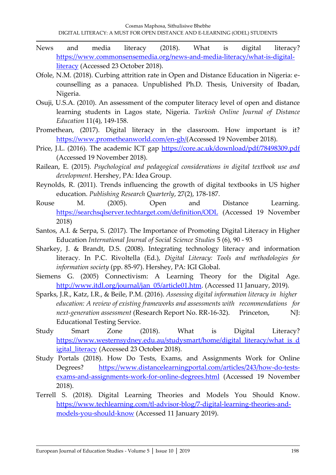- News and media literacy (2018). What is digital literacy? [https://www.commonsensemedia.org/news-and-media-literacy/what-is-digital](https://www.commonsensemedia.org/news-and-media-literacy/what-is-digital-%09literacy)[literacy](https://www.commonsensemedia.org/news-and-media-literacy/what-is-digital-%09literacy) (Accessed 23 October 2018).
- Ofole, N.M. (2018). Curbing attrition rate in Open and Distance Education in Nigeria: ecounselling as a panacea. Unpublished Ph.D. Thesis, University of Ibadan, Nigeria.
- Osuji, U.S.A. (2010). An assessment of the computer literacy level of open and distance learning students in Lagos state, Nigeria. *Turkish Online Journal of Distance Education* 11(4), 149-158.
- Promethean, (2017). Digital literacy in the classroom. How important is it? [https://www.prometheanworld.com/en-gb/\(](https://www.prometheanworld.com/en-gb/)Accessed 19 November 2018).
- Price, J.L. (2016). The academic ICT gap<https://core.ac.uk/download/pdf/78498309.pdf> (Accessed 19 November 2018).
- Railean, E. (2015). *Psychological and pedagogical considerations in digital textbook use and development*. Hershey, PA: Idea Group.
- Reynolds, R. (2011). Trends influencing the growth of digital textbooks in US higher education. *Publishing Research Quarterly*, 27(2), 178-187.
- Rouse M. (2005). Open and Distance Learning. <https://searchsqlserver.techtarget.com/definition/ODL> (Accessed 19 November 2018)
- Santos, A.I. & Serpa, S. (2017). The Importance of Promoting Digital Literacy in Higher Education *International Journal of Social Science Studies* 5 (6), 90 - 93
- Sharkey, J. & Brandt, D.S. (2008). Integrating technology literacy and information literacy. In P.C. Rivoltella (Ed.), *Digital Literacy: Tools and methodologies for information society* (pp. 85-97). Hershey, PA: IGI Global.
- Siemens G. (2005) Connectivism: A Learning Theory for the Digital Age. [http://www.itdl.org/journal/jan\\_05/article01.htm.](http://www.itdl.org/journal/jan_05/article01.htm) (Accessed 11 January, 2019).
- Sparks, J.R., Katz, I.R., & Beile, P.M. (2016). *Assessing digital information literacy in higher education: A review of existing frameworks and assessments with recommendations for next-generation assessment* (Research Report No. RR-16-32). Princeton, NJ: Educational Testing Service.
- Study Smart Zone (2018). What is Digital Literacy? [https://www.westernsydney.edu.au/studysmart/home/digital\\_literacy/what\\_is\\_d](https://www.westernsydney.edu.au/studysmart/home/digital_literacy/what_is_d%09igital_literacy) igital literacy (Accessed 23 October 2018).
- Study Portals (2018). How Do Tests, Exams, and Assignments Work for Online Degrees? [https://www.distancelearningportal.com/articles/243/how-do-tests](https://www.distancelearningportal.com/articles/243/how-do-tests-%09exams-and-assignments-work-for-online-degrees.html)[exams-and-assignments-work-for-online-degrees.html](https://www.distancelearningportal.com/articles/243/how-do-tests-%09exams-and-assignments-work-for-online-degrees.html) (Accessed 19 November 2018).
- Terrell S. (2018). Digital Learning Theories and Models You Should Know. [https://www.techlearning.com/tl-advisor-blog/7-digital-learning-theories-and](https://www.techlearning.com/tl-advisor-blog/7-digital-learning-theories-and-%09models-you-should-know)[models-you-should-know](https://www.techlearning.com/tl-advisor-blog/7-digital-learning-theories-and-%09models-you-should-know) (Accessed 11 January 2019).